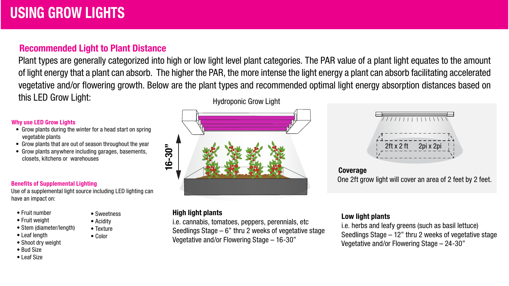# Recommended Light to Plant Distance

Plant types are generally categorized into high or low light level plant categories. The PAR value of a plant light equates to the amount of light energy that a plant can absorb. The higher the PAR, the more intense the light energy a plant can absorb facilitating accelerated vegetative and/or flowering growth. Below are the plant types and recommended optimal light energy absorption distances based on this LED Grow Light: Hydroponic Grow Light

#### Why use LED Grow Lights

- Grow plants during the winter for a head start on spring vegetable plants
- Grow plants that are out of season throughout the year
- Grow plants anywhere including garages, basements, closets, kitchens or warehouses

#### Benefits of Supplemental Lighting

Use of a supplemental light source including LED lighting can have an impact on:

> • Sweetness • Acidity • Texture • Color

- Fruit number
- Fruit weight
- Stem (diameter/length)
- Leaf length
- Shoot dry weight
- Bud Size
- Leaf Size

16-3 ة

### High light plants

i.e. cannabis, tomatoes, peppers, perennials, etc Seedlings Stage  $-6$ " thru 2 weeks of vegetative stage Vegetative and/or Flowering Stage – 16-30"



**Coverage** One 2ft grow light will cover an area of 2 feet by 2 feet.

## Low light plants

i.e. herbs and leafy greens (such as basil lettuce) Seedlings Stage – 12" thru 2 weeks of vegetative stage Vegetative and/or Flowering Stage – 24-30"